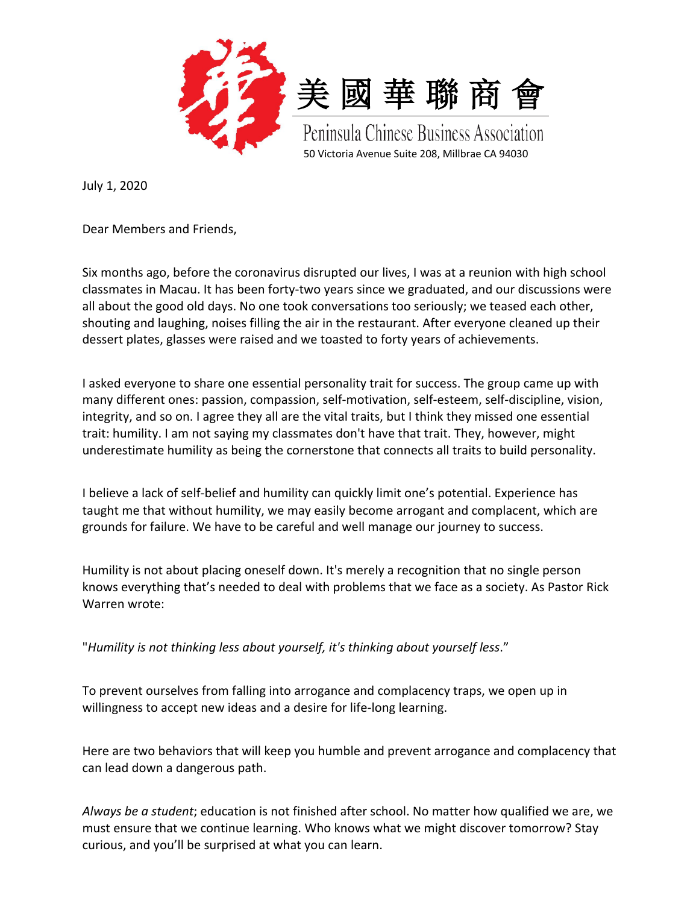

July 1, 2020

Dear Members and Friends,

Six months ago, before the coronavirus disrupted our lives, I was at a reunion with high school classmates in Macau. It has been forty-two years since we graduated, and our discussions were all about the good old days. No one took conversations too seriously; we teased each other, shouting and laughing, noises filling the air in the restaurant. After everyone cleaned up their dessert plates, glasses were raised and we toasted to forty years of achievements.

I asked everyone to share one essential personality trait for success. The group came up with many different ones: passion, compassion, self-motivation, self-esteem, self-discipline, vision, integrity, and so on. I agree they all are the vital traits, but I think they missed one essential trait: humility. I am not saying my classmates don't have that trait. They, however, might underestimate humility as being the cornerstone that connects all traits to build personality.

I believe a lack of self-belief and humility can quickly limit one's potential. Experience has taught me that without humility, we may easily become arrogant and complacent, which are grounds for failure. We have to be careful and well manage our journey to success.

Humility is not about placing oneself down. It's merely a recognition that no single person knows everything that's needed to deal with problems that we face as a society. As Pastor Rick Warren wrote:

"*Humility is not thinking less about yourself, it's thinking about yourself less*."

To prevent ourselves from falling into arrogance and complacency traps, we open up in willingness to accept new ideas and a desire for life-long learning.

Here are two behaviors that will keep you humble and prevent arrogance and complacency that can lead down a dangerous path.

*Always be a student*; education is not finished after school. No matter how qualified we are, we must ensure that we continue learning. Who knows what we might discover tomorrow? Stay curious, and you'll be surprised at what you can learn.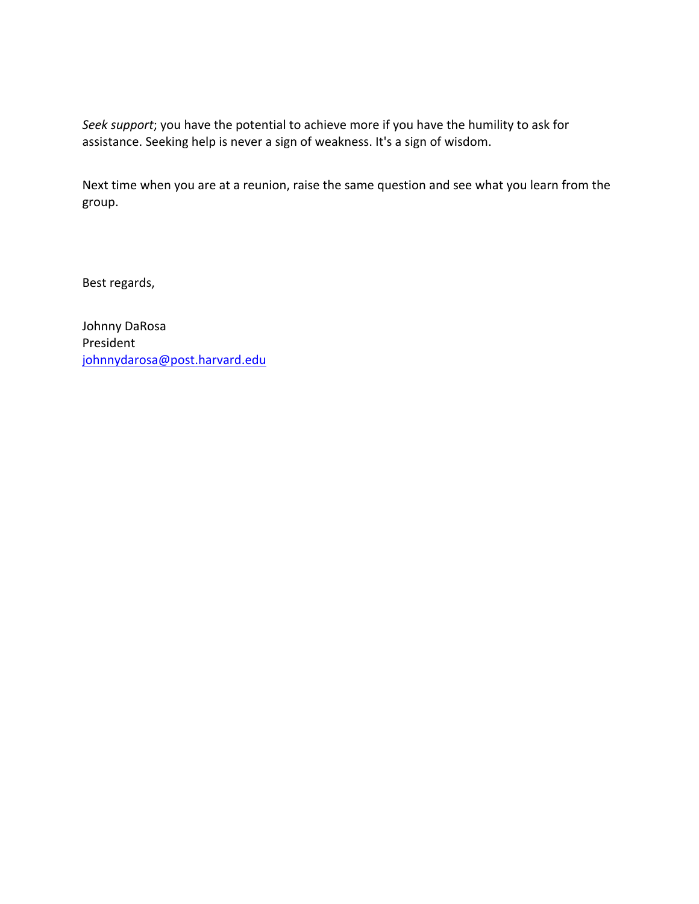*Seek support*; you have the potential to achieve more if you have the humility to ask for assistance. Seeking help is never a sign of weakness. It's a sign of wisdom.

Next time when you are at a reunion, raise the same question and see what you learn from the group.

Best regards,

Johnny DaRosa President johnnydarosa@post.harvard.edu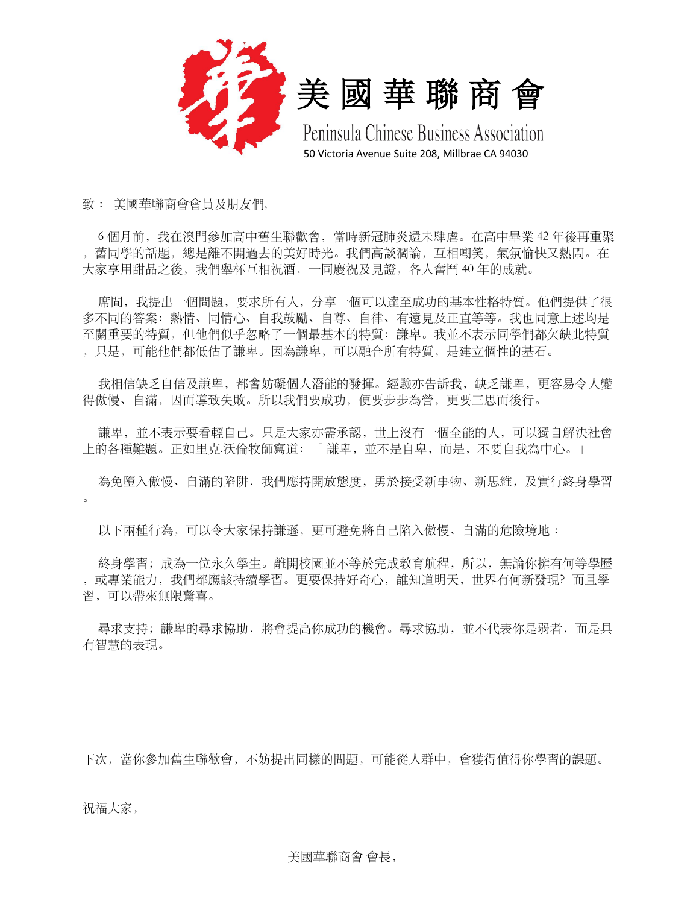

致 : 美國華聯商會會員及朋友們,

6個月前,我在澳門參加高中舊生聯歡會,當時新冠肺炎還未肆虐。在高中畢業 42 年後再重聚 ,舊同學的話題,總是離不開過去的美好時光。我們⾼談濶論,互相嘲笑,氣氛愉快又熱閙。在 大家享用甜品之後,我們舉杯互相祝酒,一同慶祝及見證,各人奮鬥 40 年的成就。

席間,我提出一個問題,要求所有人,分享一個可以達至成功的基本性格特質。他們提供了很 多不同的答案: 熱情、同情心、自我鼓勵、自尊、自律、有遠見及正直等等。我也同意上述均是 至關重要的特質,但他們似乎忽略了一個最基本的特質: 謙卑。我並不表示同學們都欠缺此特質 , 只是, 可能他們都低估了謙卑。因為謙卑, 可以融合所有特質, 是建立個性的基石。

我相信缺乏自信及謙卑,都會妨礙個人潛能的發揮。經驗亦告訴我,缺乏謙卑,更容易令人變 得傲慢、自滿,因而導致失敗。所以我們要成功,便要步步為營,更要三思而後行。

謙卑,並不表示要看輕自己。只是大家亦需承認,世上沒有一個全能的人,可以獨自解決社會 上的各種難題。正如里克.沃倫牧師寫道: 「 謙卑,並不是自卑,而是,不要自我為中心。」

為免墮入傲慢、自滿的陷阱,我們應持開放熊度,勇於接受新事物、新思維,及實行終身學習  $\alpha$ 

以下兩種行為,可以令大家保持謙遜,更可避免將自己陷入傲慢、自滿的危險境地 :

終身學習;成為一位永久學生。離開校園並不等於完成教育航程,所以,無論你擁有何等學歷 ,或專業能力,我們都應該持續學習。更要保持好奇心,誰知道明天,世界有何新發現? 而且學 習,可以帶來無限驚喜。

尋求支持;謙卑的尋求協助,將會提高你成功的機會。尋求協助,並不代表你是弱者,而是具 有智慧的表現。

下次,當你參加舊⽣聯歡會,不妨提出同樣的問題,可能從⼈群中,會獲得值得你學習的課題。

祝福大家,